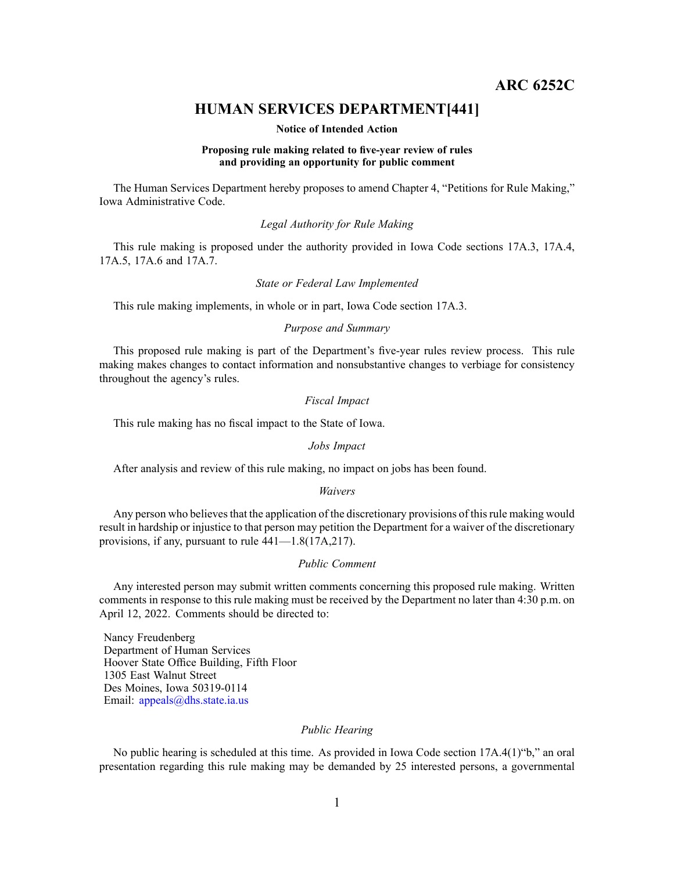**ARC 6252C**

# **HUMAN SERVICES DEPARTMENT[441]**

#### **Notice of Intended Action**

## **Proposing rule making related to five-year review of rules and providing an opportunity for public comment**

The Human Services Department hereby proposes to amend Chapter 4, "Petitions for Rule Making," Iowa Administrative Code.

# *Legal Authority for Rule Making*

This rule making is proposed under the authority provided in Iowa Code sections 17A.3, 17A.4, 17A.5, 17A.6 and 17A.7.

### *State or Federal Law Implemented*

This rule making implements, in whole or in part, Iowa Code section 17A.3.

# *Purpose and Summary*

This proposed rule making is par<sup>t</sup> of the Department's five-year rules review process. This rule making makes changes to contact information and nonsubstantive changes to verbiage for consistency throughout the agency's rules.

# *Fiscal Impact*

This rule making has no fiscal impact to the State of Iowa.

#### *Jobs Impact*

After analysis and review of this rule making, no impact on jobs has been found.

## *Waivers*

Any person who believes that the application of the discretionary provisions of this rule making would result in hardship or injustice to that person may petition the Department for <sup>a</sup> waiver of the discretionary provisions, if any, pursuan<sup>t</sup> to rule 441—1.8(17A,217).

# *Public Comment*

Any interested person may submit written comments concerning this proposed rule making. Written comments in response to this rule making must be received by the Department no later than 4:30 p.m. on April 12, 2022. Comments should be directed to:

Nancy Freudenberg Department of Human Services Hoover State Office Building, Fifth Floor 1305 East Walnut Street Des Moines, Iowa 50319-0114 Email: appea[ls@dhs.state.ia.us](mailto:appeals@dhs.state.ia.us)

## *Public Hearing*

No public hearing is scheduled at this time. As provided in Iowa Code section 17A.4(1)"b," an oral presentation regarding this rule making may be demanded by 25 interested persons, <sup>a</sup> governmental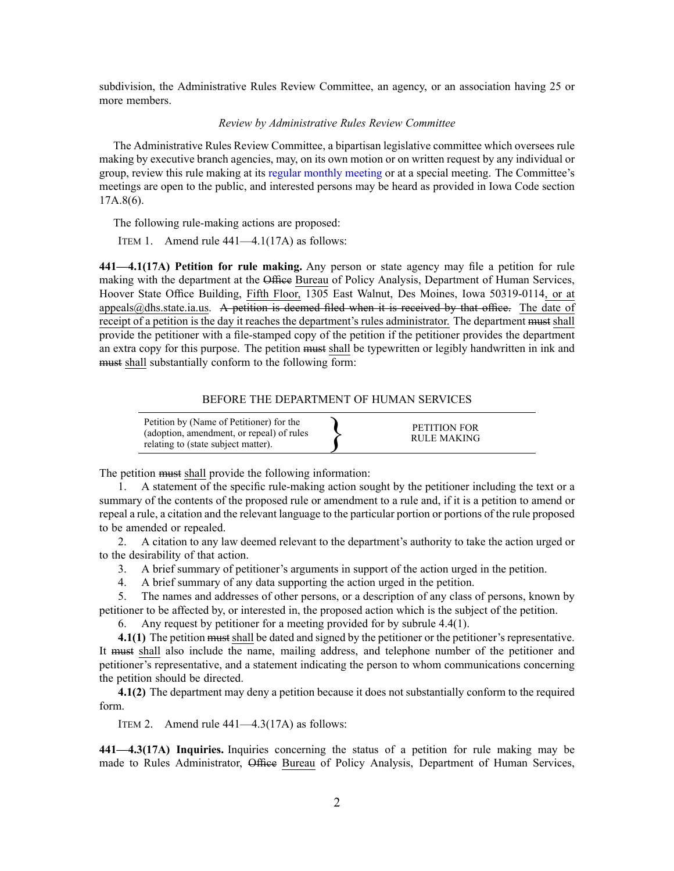subdivision, the Administrative Rules Review Committee, an agency, or an association having 25 or more members.

# *Review by Administrative Rules Review Committee*

The Administrative Rules Review Committee, <sup>a</sup> bipartisan legislative committee which oversees rule making by executive branch agencies, may, on its own motion or on written reques<sup>t</sup> by any individual or group, review this rule making at its regular [monthly](https://www.legis.iowa.gov/committees/meetings/meetingsListComm?groupID=705&ga=89) meeting or at <sup>a</sup> special meeting. The Committee's meetings are open to the public, and interested persons may be heard as provided in Iowa Code section 17A.8(6).

The following rule-making actions are proposed:

ITEM 1. Amend rule 441—4.1(17A) as follows:

**441—4.1(17A) Petition for rule making.** Any person or state agency may file <sup>a</sup> petition for rule making with the department at the Office Bureau of Policy Analysis, Department of Human Services, Hoover State Office Building, Fifth Floor, 1305 East Walnut, Des Moines, Iowa 50319-0114, or at appea[ls@dhs.state.ia.us](mailto:appeals@dhs.state.ia.us). A petition is deemed filed when it is received by that office. The date of receipt of a petition is the day it reaches the department's rules administrator. The department must shall provide the petitioner with <sup>a</sup> file-stamped copy of the petition if the petitioner provides the department an extra copy for this purpose. The petition must shall be typewritten or legibly handwritten in ink and must shall substantially conform to the following form:

## BEFORE THE DEPARTMENT OF HUMAN SERVICES

| Petition by (Name of Petitioner) for the<br>(adoption, amendment, or repeal) of rules<br>relating to (state subject matter). |  | PETITION FOR<br>RULE MAKING |
|------------------------------------------------------------------------------------------------------------------------------|--|-----------------------------|
|------------------------------------------------------------------------------------------------------------------------------|--|-----------------------------|

The petition must shall provide the following information:

1. A statement of the specific rule-making action sought by the petitioner including the text or <sup>a</sup> summary of the contents of the proposed rule or amendment to <sup>a</sup> rule and, if it is <sup>a</sup> petition to amend or repeal <sup>a</sup> rule, <sup>a</sup> citation and the relevant language to the particular portion or portions of the rule proposed to be amended or repealed.

2. A citation to any law deemed relevant to the department's authority to take the action urged or to the desirability of that action.

- 3. A brief summary of petitioner's arguments in suppor<sup>t</sup> of the action urged in the petition.
- 4. A brief summary of any data supporting the action urged in the petition.

5. The names and addresses of other persons, or <sup>a</sup> description of any class of persons, known by petitioner to be affected by, or interested in, the proposed action which is the subject of the petition.

6. Any reques<sup>t</sup> by petitioner for <sup>a</sup> meeting provided for by subrule 4.4(1).

**4.1(1)** The petition must shall be dated and signed by the petitioner or the petitioner's representative. It must shall also include the name, mailing address, and telephone number of the petitioner and petitioner's representative, and <sup>a</sup> statement indicating the person to whom communications concerning the petition should be directed.

**4.1(2)** The department may deny <sup>a</sup> petition because it does not substantially conform to the required form.

ITEM 2. Amend rule 441—4.3(17A) as follows:

**441—4.3(17A) Inquiries.** Inquiries concerning the status of <sup>a</sup> petition for rule making may be made to Rules Administrator, Office Bureau of Policy Analysis, Department of Human Services,